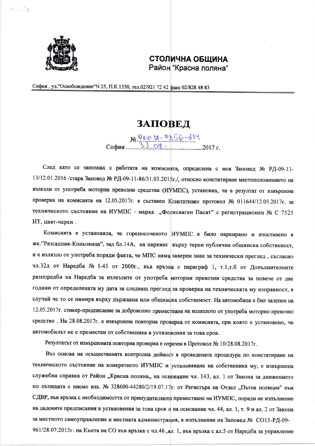

 $A = 14$ 

## СТОЛИЧНА ОБЩИНА Район "Красна поляна"

София, ул. "Освобождение" N 25, П.К. 1330, тел. 02/921 72 42 факс 02/828 48 83

## **ЗАПОВЕД**

 $N_e$ PEN H-P166-214

След като се запознах с работата на комисията, определена с моя Заповед № РД-09-11-13/12.01.2016 /стара Заповед № РД-09-11-86/31.03.2015г./, относно констатиране местоположението на излезли от употреба моторни превозни средства (ИУМПС), установих, че в резултат от извършена проверка на комисията на 12.05.2017г. е съставен Констативен протокол № 011644/12.05.2017г. за техническото състояние на ИУМПС - марка "Фолксваген Пасат" с регистрационен № С 7525 НТ, цвят-черен.

Комисията е установила, че горепосоченото ИУМПС е било паркирано и изоставено в жк. "Разсадник-Коньовица", зад бл.14А, на паркинг върху терен публична общинска собственост, и е излязло от употреба поради факта, че МПС няма заверен знак за технически преглед, съгласно чл.32д от Наредба № 1-45 от 2000г., във връзка с параграф 1, т.1,т.б от Допълнителните разпоредби на Наредба за излезлите от употреба моторни превозни средства за повече от две години от определената му дата за следващ преглед за проверка на техническата му изправност, в случай че то се намира върху държавна или общинска собственост. На автомобила е бил залепен на 12.05.2017г. стикер-предписание за доброволно преместване на излязлото от употреба моторно превозно средство. На 28.08.2017г. е извършена повторна проверка от комисията, при която е установено, че автомобилът не е преместен от собственика в установения за това срок.

Резултатът от извършената повторна проверка е отразен в Протокол № 10/28.08.2017г.

Въз основа на осъществената контролна дейност в проведената процедура по констатиране на техническото състояние на конкретното ИУМПС и установяване на собственика му, е извършена служебна справка от Район "Красна поляна,, на основание чл. 143, ал. 1 от Закона за движението по пътищата с писмо изх. № 328600-44280/2/19.07.17г. от Регистъра на Отдел "Пътна полиция" към СДВР, във връзка с необходимостта от принудителното преместване на ИУМПС, поради не изпълнение на дадените предписания в установения за това срок и на основание чл. 44, ал. 1, т. 9 и ал. 2 от Закона за местното самоуправление и местната администрация, в изпълнение на Заповед № СО15-РД-09-961/28.07.2015г. на Кмета на СО във връзка с чл.46., ал. 1, във връзка с ал.5 от Наредба за управление